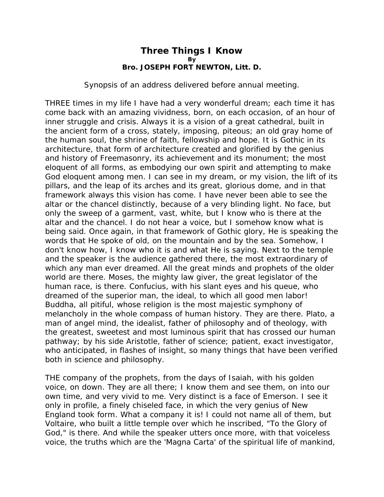## **Three Things I Know By Bro. JOSEPH FORT NEWTON, Litt. D.**

Synopsis of an address delivered before annual meeting.

THREE times in my life I have had a very wonderful dream; each time it has come back with an amazing vividness, born, on each occasion, of an hour of inner struggle and crisis. Always it is a vision of a great cathedral, built in the ancient form of a cross, stately, imposing, piteous; an old gray home of the human soul, the shrine of faith, fellowship and hope. It is Gothic in its architecture, that form of architecture created and glorified by the genius and history of Freemasonry, its achievement and its monument; the most eloquent of all forms, as embodying our own spirit and attempting to make God eloquent among men. I can see in my dream, or my vision, the lift of its pillars, and the leap of its arches and its great, glorious dome, and in that framework always this vision has come. I have never been able to see the altar or the chancel distinctly, because of a very blinding light. No face, but only the sweep of a garment, vast, white, but I know who is there at the altar and the chancel. I do not hear a voice, but I somehow know what is being said. Once again, in that framework of Gothic glory, He is speaking the words that He spoke of old, on the mountain and by the sea. Somehow, I don't know how, I know who it is and what He is saying. Next to the temple and the speaker is the audience gathered there, the most extraordinary of which any man ever dreamed. All the great minds and prophets of the older world are there. Moses, the mighty law giver, the great legislator of the human race, is there. Confucius, with his slant eyes and his queue, who dreamed of the superior man, the ideal, to which all good men labor! Buddha, all pitiful, whose religion is the most majestic symphony of melancholy in the whole compass of human history. They are there. Plato, a man of angel mind, the idealist, father of philosophy and of theology, with the greatest, sweetest and most luminous spirit that has crossed our human pathway; by his side Aristotle, father of science; patient, exact investigator, who anticipated, in flashes of insight, so many things that have been verified both in science and philosophy.

THE company of the prophets, from the days of Isaiah, with his golden voice, on down. They are all there; I know them and see them, on into our own time, and very vivid to me. Very distinct is a face of Emerson. I see it only in profile, a finely chiseled face, in which the very genius of New England took form. What a company it is! I could not name all of them, but Voltaire, who built a little temple over which he inscribed, "To the Glory of God," is there. And while the speaker utters once more, with that voiceless voice, the truths which are the 'Magna Carta' of the spiritual life of mankind,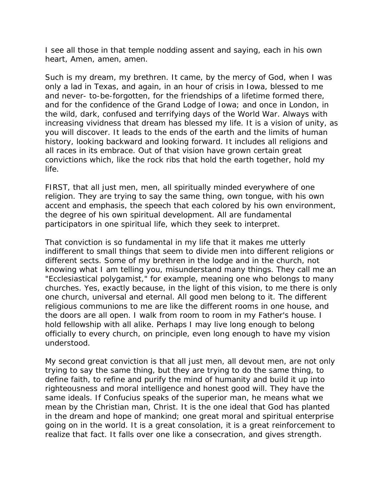I see all those in that temple nodding assent and saying, each in his own heart, Amen, amen, amen.

Such is my dream, my brethren. It came, by the mercy of God, when I was only a lad in Texas, and again, in an hour of crisis in Iowa, blessed to me and never- to-be-forgotten, for the friendships of a lifetime formed there, and for the confidence of the Grand Lodge of Iowa; and once in London, in the wild, dark, confused and terrifying days of the World War. Always with increasing vividness that dream has blessed my life. It is a vision of unity, as you will discover. It leads to the ends of the earth and the limits of human history, looking backward and looking forward. It includes all religions and all races in its embrace. Out of that vision have grown certain great convictions which, like the rock ribs that hold the earth together, hold my life.

FIRST, that all just men, men, all spiritually minded everywhere of one religion. They are trying to say the same thing, own tongue, with his own accent and emphasis, the speech that each colored by his own environment, the degree of his own spiritual development. All are fundamental participators in one spiritual life, which they seek to interpret.

That conviction is so fundamental in my life that it makes me utterly indifferent to small things that seem to divide men into different religions or different sects. Some of my brethren in the lodge and in the church, not knowing what I am telling you, misunderstand many things. They call me an "Ecclesiastical polygamist," for example, meaning one who belongs to many churches. Yes, exactly because, in the light of this vision, to me there is only one church, universal and eternal. All good men belong to it. The different religious communions to me are like the different rooms in one house, and the doors are all open. I walk from room to room in my Father's house. I hold fellowship with all alike. Perhaps I may live long enough to belong officially to every church, on principle, even long enough to have my vision understood.

My second great conviction is that all just men, all devout men, are not only trying to say the same thing, but they are trying to do the same thing, to define faith, to refine and purify the mind of humanity and build it up into righteousness and moral intelligence and honest good will. They have the same ideals. If Confucius speaks of the superior man, he means what we mean by the Christian man, Christ. It is the one ideal that God has planted in the dream and hope of mankind; one great moral and spiritual enterprise going on in the world. It is a great consolation, it is a great reinforcement to realize that fact. It falls over one like a consecration, and gives strength.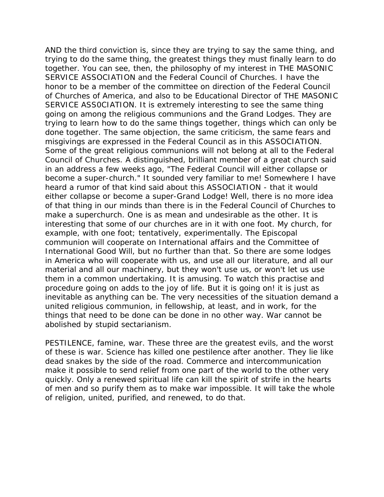AND the third conviction is, since they are trying to say the same thing, and trying to do the same thing, the greatest things they must finally learn to do together. You can see, then, the philosophy of my interest in THE MASONIC SERVICE ASSOCIATION and the Federal Council of Churches. I have the honor to be a member of the committee on direction of the Federal Council of Churches of America, and also to be Educational Director of THE MASONIC SERVICE ASS0CIATION. It is extremely interesting to see the same thing going on among the religious communions and the Grand Lodges. They are trying to learn how to do the same things together, things which can only be done together. The same objection, the same criticism, the same fears and misgivings are expressed in the Federal Council as in this ASSOCIATION. Some of the great religious communions will not belong at all to the Federal Council of Churches. A distinguished, brilliant member of a great church said in an address a few weeks ago, "The Federal Council will either collapse or become a super-church." It sounded very familiar to me! Somewhere I have heard a rumor of that kind said about this ASSOCIATION - that it would either collapse or become a super-Grand Lodge! Well, there is no more idea of that thing in our minds than there is in the Federal Council of Churches to make a superchurch. One is as mean and undesirable as the other. It is interesting that some of our churches are in it with one foot. My church, for example, with one foot; tentatively, experimentally. The Episcopal communion will cooperate on International affairs and the Committee of International Good Will, but no further than that. So there are some lodges in America who will cooperate with us, and use all our literature, and all our material and all our machinery, but they won't use us, or won't let us use them in a common undertaking. It is amusing. To watch this practise and procedure going on adds to the joy of life. But it is going on! it is just as inevitable as anything can be. The very necessities of the situation demand a united religious communion, in fellowship, at least, and in work, for the things that need to be done can be done in no other way. War cannot be abolished by stupid sectarianism.

PESTILENCE, famine, war. These three are the greatest evils, and the worst of these is war. Science has killed one pestilence after another. They lie like dead snakes by the side of the road. Commerce and intercommunication make it possible to send relief from one part of the world to the other very quickly. Only a renewed spiritual life can kill the spirit of strife in the hearts of men and so purify them as to make war impossible. It will take the whole of religion, united, purified, and renewed, to do that.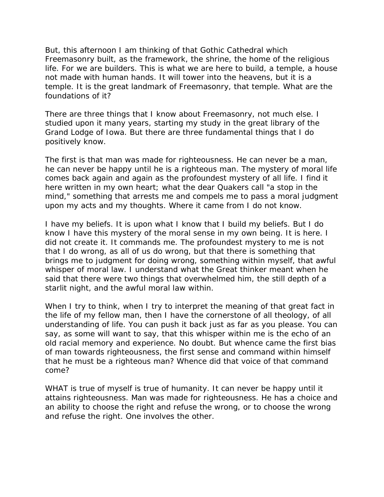But, this afternoon I am thinking of that Gothic Cathedral which Freemasonry built, as the framework, the shrine, the home of the religious life. For we are builders. This is what we are here to build, a temple, a house not made with human hands. It will tower into the heavens, but it is a temple. It is the great landmark of Freemasonry, that temple. What are the foundations of it?

There are three things that I know about Freemasonry, not much else. I studied upon it many years, starting my study in the great library of the Grand Lodge of Iowa. But there are three fundamental things that I do positively know.

The first is that man was made for righteousness. He can never be a man, he can never be happy until he is a righteous man. The mystery of moral life comes back again and again as the profoundest mystery of all life. I find it here written in my own heart; what the dear Quakers call "a stop in the mind," something that arrests me and compels me to pass a moral judgment upon my acts and my thoughts. Where it came from I do not know.

I have my beliefs. It is upon what I know that I build my beliefs. But I do know I have this mystery of the moral sense in my own being. It is here. I did not create it. It commands me. The profoundest mystery to me is not that I do wrong, as all of us do wrong, but that there is something that brings me to judgment for doing wrong, something within myself, that awful whisper of moral law. I understand what the Great thinker meant when he said that there were two things that overwhelmed him, the still depth of a starlit night, and the awful moral law within.

When I try to think, when I try to interpret the meaning of that great fact in the life of my fellow man, then I have the cornerstone of all theology, of all understanding of life. You can push it back just as far as you please. You can say, as some will want to say, that this whisper within me is the echo of an old racial memory and experience. No doubt. But whence came the first bias of man towards righteousness, the first sense and command within himself that he must be a righteous man? Whence did that voice of that command come?

WHAT is true of myself is true of humanity. It can never be happy until it attains righteousness. Man was made for righteousness. He has a choice and an ability to choose the right and refuse the wrong, or to choose the wrong and refuse the right. One involves the other.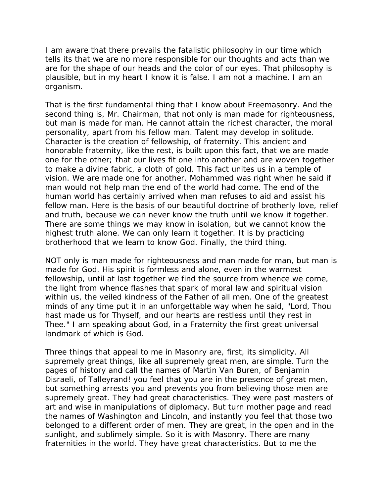I am aware that there prevails the fatalistic philosophy in our time which tells its that we are no more responsible for our thoughts and acts than we are for the shape of our heads and the color of our eyes. That philosophy is plausible, but in my heart I know it is false. I am not a machine. I am an organism.

That is the first fundamental thing that I know about Freemasonry. And the second thing is, Mr. Chairman, that not only is man made for righteousness, but man is made for man. He cannot attain the richest character, the moral personality, apart from his fellow man. Talent may develop in solitude. Character is the creation of fellowship, of fraternity. This ancient and honorable fraternity, like the rest, is built upon this fact, that we are made one for the other; that our lives fit one into another and are woven together to make a divine fabric, a cloth of gold. This fact unites us in a temple of vision. We are made one for another. Mohammed was right when he said if man would not help man the end of the world had come. The end of the human world has certainly arrived when man refuses to aid and assist his fellow man. Here is the basis of our beautiful doctrine of brotherly love, relief and truth, because we can never know the truth until we know it together. There are some things we may know in isolation, but we cannot know the highest truth alone. We can only learn it together. It is by practicing brotherhood that we learn to know God. Finally, the third thing.

NOT only is man made for righteousness and man made for man, but man is made for God. His spirit is formless and alone, even in the warmest fellowship, until at last together we find the source from whence we come, the light from whence flashes that spark of moral law and spiritual vision within us, the veiled kindness of the Father of all men. One of the greatest minds of any time put it in an unforgettable way when he said, "Lord, Thou hast made us for Thyself, and our hearts are restless until they rest in Thee." I am speaking about God, in a Fraternity the first great universal landmark of which is God.

Three things that appeal to me in Masonry are, first, its simplicity. All supremely great things, like all supremely great men, are simple. Turn the pages of history and call the names of Martin Van Buren, of Benjamin Disraeli, of Talleyrand! you feel that you are in the presence of great men, but something arrests you and prevents you from believing those men are supremely great. They had great characteristics. They were past masters of art and wise in manipulations of diplomacy. But turn mother page and read the names of Washington and Lincoln, and instantly you feel that those two belonged to a different order of men. They are great, in the open and in the sunlight, and sublimely simple. So it is with Masonry. There are many fraternities in the world. They have great characteristics. But to me the